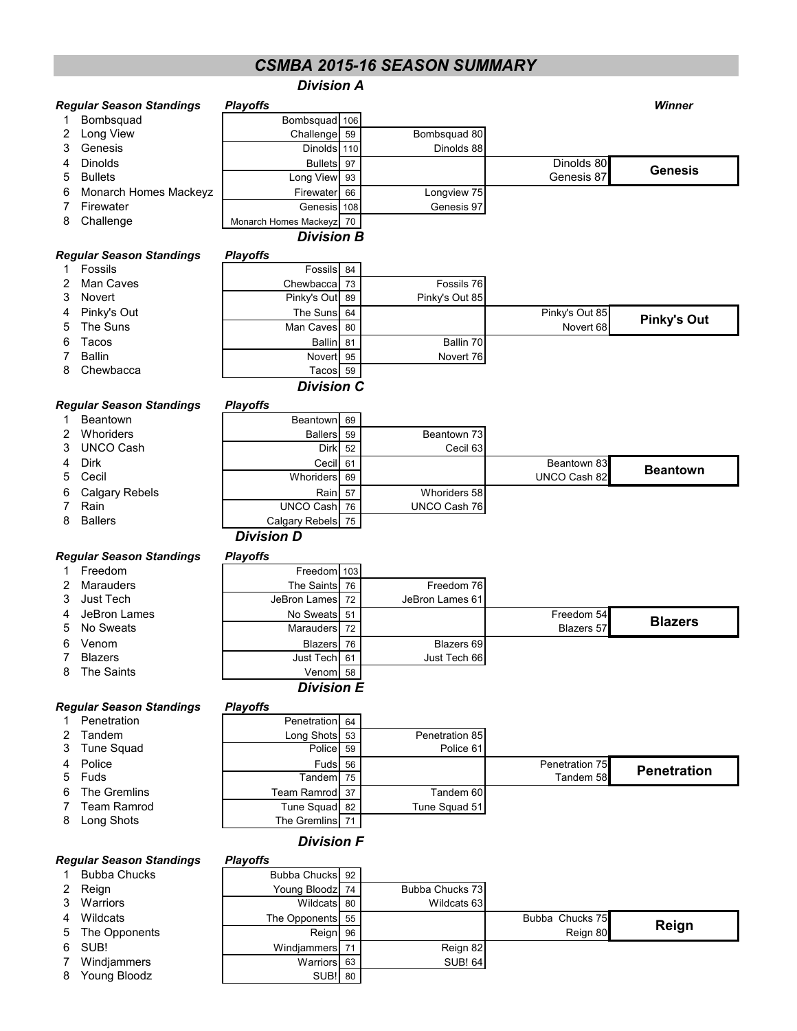# *CSMBA 2015-16 SEASON SUMMARY*

# *Division A*

|        | <b>Regular Season Standings</b> | <b>Playoffs</b>                   |          |                 |                   | Winner             |
|--------|---------------------------------|-----------------------------------|----------|-----------------|-------------------|--------------------|
| 1.     | Bombsquad                       | Bombsquad 106                     |          |                 |                   |                    |
| 2      | Long View                       | Challenge                         | 59       | Bombsquad 80    |                   |                    |
| 3      | Genesis                         | Dinolds 110                       |          | Dinolds 88      |                   |                    |
| 4      | <b>Dinolds</b>                  | <b>Bullets</b>                    | 97       |                 | Dinolds 80        |                    |
| 5      | <b>Bullets</b>                  | Long View                         | 93       |                 | Genesis 87        | <b>Genesis</b>     |
| 6      | Monarch Homes Mackeyz           | Firewater                         | 66       | Longview 75     |                   |                    |
| 7      | Firewater                       | Genesis                           | 108      | Genesis 97      |                   |                    |
| 8      | Challenge                       | Monarch Homes Mackeyz             | 70       |                 |                   |                    |
|        |                                 | <b>Division B</b>                 |          |                 |                   |                    |
|        | <b>Regular Season Standings</b> | <b>Playoffs</b>                   |          |                 |                   |                    |
| 1.     | Fossils                         | Fossils                           | 84       |                 |                   |                    |
| 2      | <b>Man Caves</b>                | Chewbacca                         | 73       | Fossils 76      |                   |                    |
| 3      | <b>Novert</b>                   | Pinky's Out                       | 89       | Pinky's Out 85  |                   |                    |
| 4      | Pinky's Out                     | The Suns                          | 64       |                 | Pinky's Out 85    |                    |
| 5      | The Suns                        | Man Caves                         | 80       |                 | Novert 68         | <b>Pinky's Out</b> |
| 6      | Tacos                           | <b>Ballin</b>                     | 81       | Ballin 70       |                   |                    |
| 7      | <b>Ballin</b>                   | Novert                            | 95       | Novert 76       |                   |                    |
| 8      | Chewbacca                       | Tacos 59                          |          |                 |                   |                    |
|        |                                 | <b>Division C</b>                 |          |                 |                   |                    |
|        | <b>Regular Season Standings</b> | <b>Playoffs</b>                   |          |                 |                   |                    |
| 1      | <b>Beantown</b>                 | Beantown                          | 69       |                 |                   |                    |
| 2      | Whoriders                       | <b>Ballers</b>                    | 59       | Beantown 73     |                   |                    |
| 3      | <b>UNCO Cash</b>                | Dirk                              | 52       | Cecil 63        |                   |                    |
| 4      | <b>Dirk</b>                     | Cecil                             | 61       |                 | Beantown 83       |                    |
| 5      | Cecil                           | Whoriders                         | 69       |                 | UNCO Cash 82      | <b>Beantown</b>    |
| 6      | <b>Calgary Rebels</b>           | Rain                              | 57       | Whoriders 58    |                   |                    |
| 7      | Rain                            | <b>UNCO Cash</b>                  | 76       | UNCO Cash 76    |                   |                    |
| 8      | <b>Ballers</b>                  | Calgary Rebels                    | 75       |                 |                   |                    |
|        |                                 | <b>Division D</b>                 |          |                 |                   |                    |
|        | <b>Regular Season Standings</b> | <b>Playoffs</b>                   |          |                 |                   |                    |
| 1      | Freedom                         | Freedom                           | 103      |                 |                   |                    |
|        | <b>Marauders</b>                |                                   |          | Freedom 76      |                   |                    |
| 2<br>3 | Just Tech                       | The Saints<br><b>JeBron Lames</b> | 76<br>72 | JeBron Lames 61 |                   |                    |
|        |                                 |                                   |          |                 |                   |                    |
| 4      | JeBron Lames                    | No Sweats                         | 51       |                 | Freedom 54        | <b>Blazers</b>     |
| 5      | No Sweats                       | <b>Marauders</b>                  | 72       |                 | <b>Blazers 57</b> |                    |
| 6      | Venom                           | Blazers                           | 76       | Blazers 69      |                   |                    |
| 7      | <b>Blazers</b>                  | Just Tech                         | 61       | Just Tech 66    |                   |                    |
| 8      | The Saints                      | Venom 58                          |          |                 |                   |                    |
|        |                                 | <b>Division E</b>                 |          |                 |                   |                    |
|        | <b>Regular Season Standings</b> | <b>Playoffs</b>                   |          |                 |                   |                    |
| 1.     | Penetration                     | Penetration                       | 64       |                 |                   |                    |
| 2      | Tandem                          | Long Shots                        | 53       | Penetration 85  |                   |                    |
| 3      | <b>Tune Squad</b>               | Police                            | 59       | Police 61       |                   |                    |
| 4      | Police                          | Fuds                              | 56       |                 | Penetration 75    | <b>Penetration</b> |
| 5      | Fuds                            | Tandem                            | 75       |                 | Tandem 58         |                    |
| 6      | The Gremlins                    | Team Ramrod                       | 37       | Tandem 60       |                   |                    |
| 7      | <b>Team Ramrod</b>              | <b>Tune Squad</b>                 | 82       | Tune Squad 51   |                   |                    |
| 8      | Long Shots                      | The Gremlins                      | 71       |                 |                   |                    |
|        |                                 | <b>Division F</b>                 |          |                 |                   |                    |
|        | <b>Regular Season Standings</b> | <b>Playoffs</b>                   |          |                 |                   |                    |
| 1      | <b>Bubba Chucks</b>             | Bubba Chucks 92                   |          |                 |                   |                    |
| 2      | Reign                           | Young Bloodz                      | 74       | Bubba Chucks 73 |                   |                    |
| 3      | Warriors                        | Wildcats 80                       |          | Wildcats 63     |                   |                    |
| 4      | Wildcats                        | The Opponents                     | 55       |                 | Bubba Chucks 75   |                    |
| 5      | The Opponents                   | Reign                             | 96       |                 | Reign 80          | Reign              |
|        | SUB!                            |                                   |          |                 |                   |                    |
| 6      |                                 | Windjammers                       | 71       | Reign 82        |                   |                    |
| 7      | Windjammers                     | Warriors                          | 63       | <b>SUB! 64</b>  |                   |                    |

8 Young Bloodz | SUB!| 80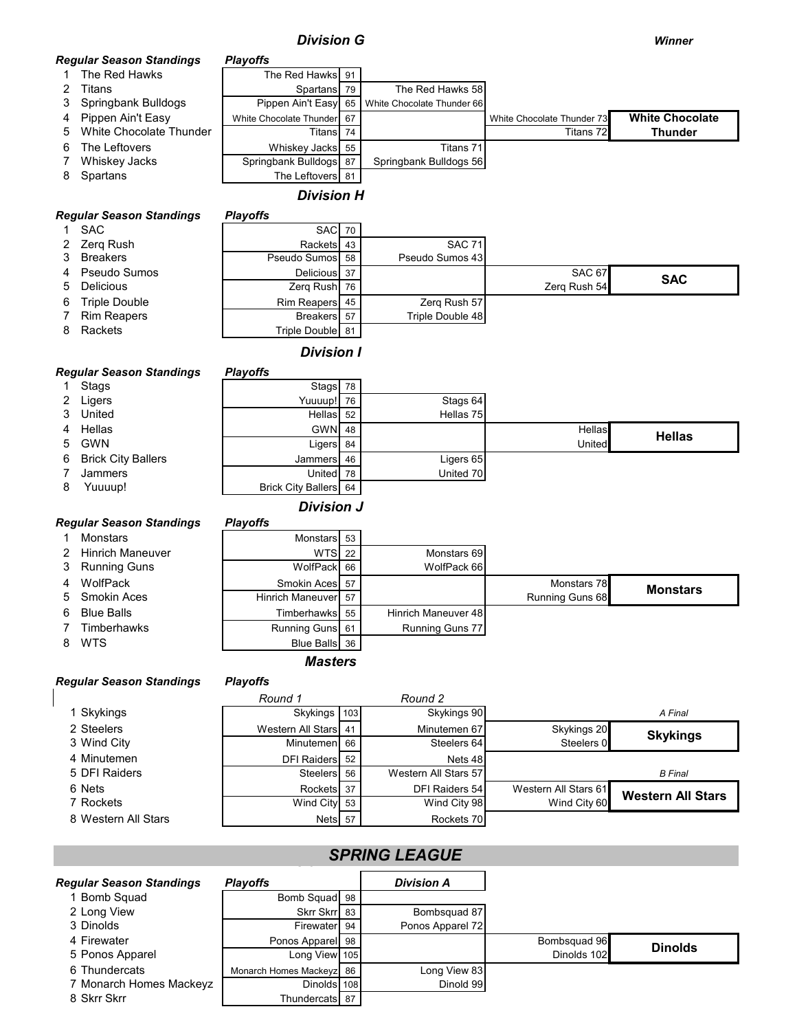# *Division G Winner*

## *Regular Season Standings Playoffs*

- 1 The Red Hawks The Red Hawks 91<br>2 Titans Spartans 79
- 
- 2 Titans 3<br>3 Springbank Bulldogs Pippen Ain't Easy 65 White Chocolate Thunder 66 Springbank Bulldogs Pippen Ain't Easy 65 White Chocolate Thunder 66
- 
- 4 Pippen Ain't Easy White Chocolate Thunder 67<br>5 White Chocolate Thunder Titlens 74 Titans 72 5 White Chocolate Thunder Two Titans 74
- 6 The Leftovers **Contract Contract Contract Contract Contract Contract Contract Contract Contract Contract Contract Contract Contract Titans 71 Titans 71 Titans 71 Titans 71 Titans 71 Titans 71 Titans 71 Titans 71 Titans 7**
- 7 Whiskey Jacks | Springbank Bulldogs 87 Springbank Bulldogs 56
- 8 Spartans 10 and 10 and 10 and 10 and 10 and 10 and 10 and 10 and 10 and 10 and 10 and 10 and 10 and 10 and 10 and 10 and 10 and 10 and 10 and 10 and 10 and 10 and 10 and 10 and 10 and 10 and 10 and 10 and 10 and 10 and 1

# *Division H*

## *Regular Season Standings Playoffs*

| -               |                  |                  |              |            |
|-----------------|------------------|------------------|--------------|------------|
| 1 SAC           | <b>SAC</b> 70    |                  |              |            |
| 2 Zerg Rush     | Rackets 43       | <b>SAC 71</b>    |              |            |
| 3 Breakers      | Pseudo Sumos 58  | Pseudo Sumos 43  |              |            |
| 4 Pseudo Sumos  | Delicious 37     |                  | SAC 67       | <b>SAC</b> |
| 5 Delicious     | Zerg Rush 76     |                  | Zerg Rush 54 |            |
| 6 Triple Double | Rim Reapers 45   | Zerg Rush 57     |              |            |
| 7 Rim Reapers   | Breakers 57      | Triple Double 48 |              |            |
| 8 Rackets       | Triple Double 81 |                  |              |            |

# *Division I*

#### *Regular Season Standings Playoffs*

|   | 1 Stags              | Stags 78              |           |        |               |
|---|----------------------|-----------------------|-----------|--------|---------------|
|   | 2 Ligers             | Yuuuup! 76            | Stags 64  |        |               |
|   | 3 United             | Hellas 52             | Hellas 75 |        |               |
|   | 4 Hellas             | <b>GWN 48</b>         |           | Hellas | <b>Hellas</b> |
|   | 5 GWN                | Ligers 84             |           | United |               |
|   | 6 Brick City Ballers | Jammers 46            | Ligers 65 |        |               |
|   | Jammers              | United 78             | United 70 |        |               |
| 8 | Yuuuup!              | Brick City Ballers 64 |           |        |               |
|   |                      | <b>Division J</b>     |           |        |               |

|    | <b>Regular Season Standings</b> | <b>Playoffs</b>     |                        |                        |                 |
|----|---------------------------------|---------------------|------------------------|------------------------|-----------------|
|    | <b>Monstars</b>                 | Monstars 53         |                        |                        |                 |
|    | <b>Hinrich Maneuver</b>         | <b>WTS</b> 22       | Monstars 69            |                        |                 |
| 3  | <b>Running Guns</b>             | WolfPack 66         | WolfPack 66            |                        |                 |
|    | WolfPack                        | Smokin Aces 57      |                        | Monstars 78            | <b>Monstars</b> |
|    | 5 Smokin Aces                   | Hinrich Maneuver 57 |                        | <b>Running Guns 68</b> |                 |
| 6  | <b>Blue Balls</b>               | Timberhawks 55      | Hinrich Maneuver 48    |                        |                 |
|    | Timberhawks                     | Running Guns 61     | <b>Running Guns 77</b> |                        |                 |
| 8. | <b>WTS</b>                      | Blue Balls 36       |                        |                        |                 |
|    |                                 |                     |                        |                        |                 |

#### *Masters*

### *Regular Season Standings Playoffs*

|                     | Round 1              | Round 2              |                      |                          |
|---------------------|----------------------|----------------------|----------------------|--------------------------|
| 1 Skykings          | Skykings 103         | Skykings 90          |                      | A Final                  |
| 2 Steelers          | Western All Stars 41 | Minutemen 67         | Skykings 20          | <b>Skykings</b>          |
| 3 Wind City         | Minutemen 66         | Steelers 64          | Steelers 0           |                          |
| 4 Minutemen         | DFI Raiders 52       | Nets 48              |                      |                          |
| 5 DFI Raiders       | Steelers 56          | Western All Stars 57 |                      | <b>B</b> Final           |
| 6 Nets              | Rockets 37           | DFI Raiders 54       | Western All Stars 61 | <b>Western All Stars</b> |
| 7 Rockets           | Wind City 53         | Wind City 98         | Wind City 60         |                          |
| 8 Western All Stars | Nets <sub>57</sub>   | Rockets 70           |                      |                          |

# *A DIRING LEAGUE A DIRING LEAGUE*

| <b>Regular Season Standings</b> | <b>Playoffs</b>          | <b>Division A</b> |              |                |
|---------------------------------|--------------------------|-------------------|--------------|----------------|
| <b>Bomb Squad</b>               | Bomb Squad 98            |                   |              |                |
| 2 Long View                     | Skrr Skrr 83             | Bombsquad 87      |              |                |
| 3 Dinolds                       | Firewater 94             | Ponos Apparel 72  |              |                |
| 4 Firewater                     | Ponos Apparel 98         |                   | Bombsquad 96 | <b>Dinolds</b> |
| 5 Ponos Apparel                 | Long View 105            |                   | Dinolds 102  |                |
| 6 Thundercats                   | Monarch Homes Mackeyz 86 | Long View 83      |              |                |
| 7 Monarch Homes Mackeyz         | Dinolds 108              | Dinold 99         |              |                |
| 8 Skrr Skrr                     | Thundercats 87           |                   |              |                |

White Chocolate Thunder